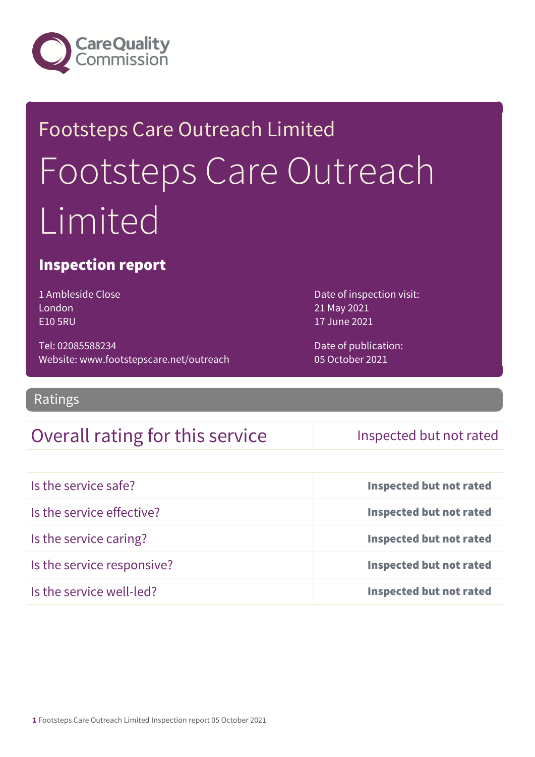

# Footsteps Care Outreach Limited Footsteps Care Outreach Limited

### Inspection report

1 Ambleside Close London E10 5RU

Tel: 02085588234 Website: www.footstepscare.net/outreach Date of inspection visit: 21 May 2021 17 June 2021

Date of publication: 05 October 2021

#### Ratings

### Overall rating for this service Inspected but not rated

| Is the service safe?       | <b>Inspected but not rated</b> |
|----------------------------|--------------------------------|
| Is the service effective?  | <b>Inspected but not rated</b> |
| Is the service caring?     | <b>Inspected but not rated</b> |
| Is the service responsive? | <b>Inspected but not rated</b> |
| Is the service well-led?   | <b>Inspected but not rated</b> |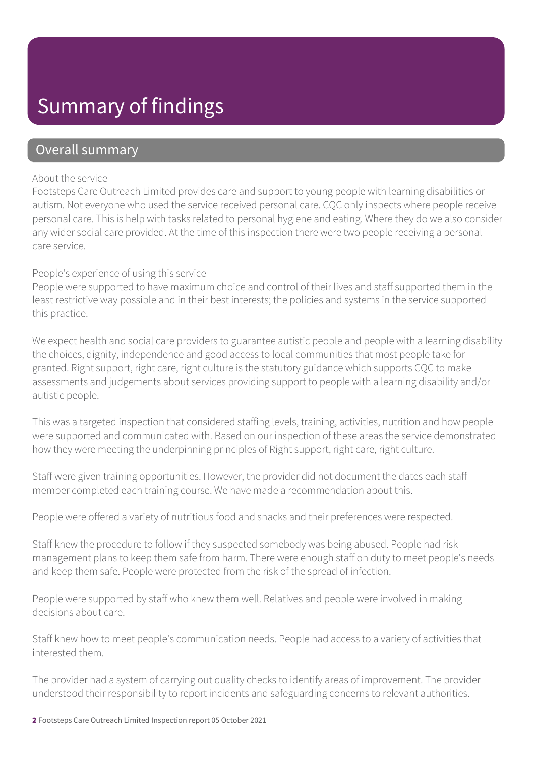### Summary of findings

### Overall summary

#### About the service

Footsteps Care Outreach Limited provides care and support to young people with learning disabilities or autism. Not everyone who used the service received personal care. CQC only inspects where people receive personal care. This is help with tasks related to personal hygiene and eating. Where they do we also consider any wider social care provided. At the time of this inspection there were two people receiving a personal care service.

#### People's experience of using this service

People were supported to have maximum choice and control of their lives and staff supported them in the least restrictive way possible and in their best interests; the policies and systems in the service supported this practice.

We expect health and social care providers to guarantee autistic people and people with a learning disability the choices, dignity, independence and good access to local communities that most people take for granted. Right support, right care, right culture is the statutory guidance which supports CQC to make assessments and judgements about services providing support to people with a learning disability and/or autistic people.

This was a targeted inspection that considered staffing levels, training, activities, nutrition and how people were supported and communicated with. Based on our inspection of these areas the service demonstrated how they were meeting the underpinning principles of Right support, right care, right culture.

Staff were given training opportunities. However, the provider did not document the dates each staff member completed each training course. We have made a recommendation about this.

People were offered a variety of nutritious food and snacks and their preferences were respected.

Staff knew the procedure to follow if they suspected somebody was being abused. People had risk management plans to keep them safe from harm. There were enough staff on duty to meet people's needs and keep them safe. People were protected from the risk of the spread of infection.

People were supported by staff who knew them well. Relatives and people were involved in making decisions about care.

Staff knew how to meet people's communication needs. People had access to a variety of activities that interested them.

The provider had a system of carrying out quality checks to identify areas of improvement. The provider understood their responsibility to report incidents and safeguarding concerns to relevant authorities.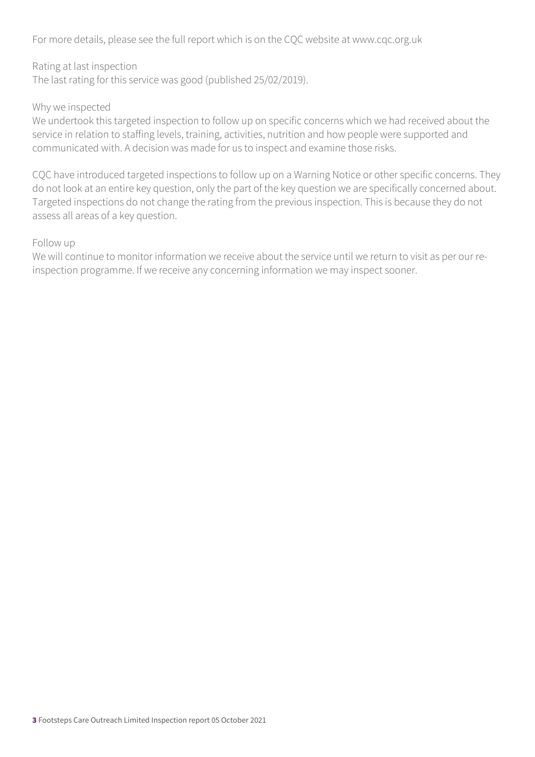For more details, please see the full report which is on the CQC website at www.cqc.org.uk

Rating at last inspection The last rating for this service was good (published 25/02/2019).

#### Why we inspected

We undertook this targeted inspection to follow up on specific concerns which we had received about the service in relation to staffing levels, training, activities, nutrition and how people were supported and communicated with. A decision was made for us to inspect and examine those risks.

CQC have introduced targeted inspections to follow up on a Warning Notice or other specific concerns. They do not look at an entire key question, only the part of the key question we are specifically concerned about. Targeted inspections do not change the rating from the previous inspection. This is because they do not assess all areas of a key question.

#### Follow up

We will continue to monitor information we receive about the service until we return to visit as per our reinspection programme. If we receive any concerning information we may inspect sooner.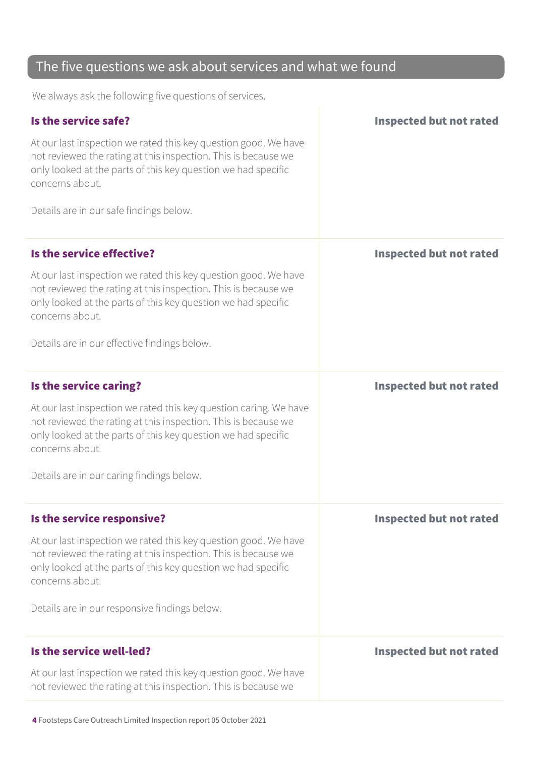### The five questions we ask about services and what we found

We always ask the following five questions of services.

| Is the service safe?<br>At our last inspection we rated this key question good. We have<br>not reviewed the rating at this inspection. This is because we<br>only looked at the parts of this key question we had specific<br>concerns about.<br>Details are in our safe findings below.             | <b>Inspected but not rated</b> |
|------------------------------------------------------------------------------------------------------------------------------------------------------------------------------------------------------------------------------------------------------------------------------------------------------|--------------------------------|
| Is the service effective?<br>At our last inspection we rated this key question good. We have<br>not reviewed the rating at this inspection. This is because we<br>only looked at the parts of this key question we had specific<br>concerns about.<br>Details are in our effective findings below.   | <b>Inspected but not rated</b> |
| Is the service caring?<br>At our last inspection we rated this key question caring. We have<br>not reviewed the rating at this inspection. This is because we<br>only looked at the parts of this key question we had specific<br>concerns about.<br>Details are in our caring findings below.       | <b>Inspected but not rated</b> |
| Is the service responsive?<br>At our last inspection we rated this key question good. We have<br>not reviewed the rating at this inspection. This is because we<br>only looked at the parts of this key question we had specific<br>concerns about.<br>Details are in our responsive findings below. | <b>Inspected but not rated</b> |
| Is the service well-led?<br>At our last inspection we rated this key question good. We have<br>not reviewed the rating at this inspection. This is because we                                                                                                                                        | <b>Inspected but not rated</b> |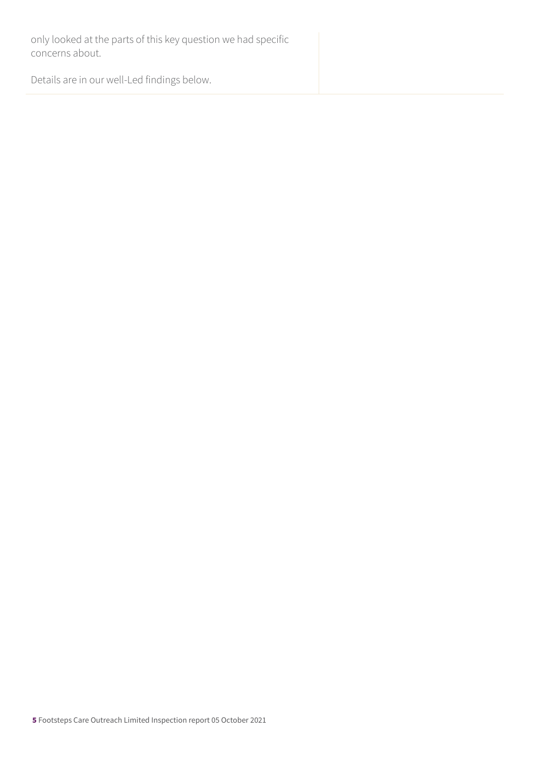only looked at the parts of this key question we had specific concerns about.

Details are in our well-Led findings below.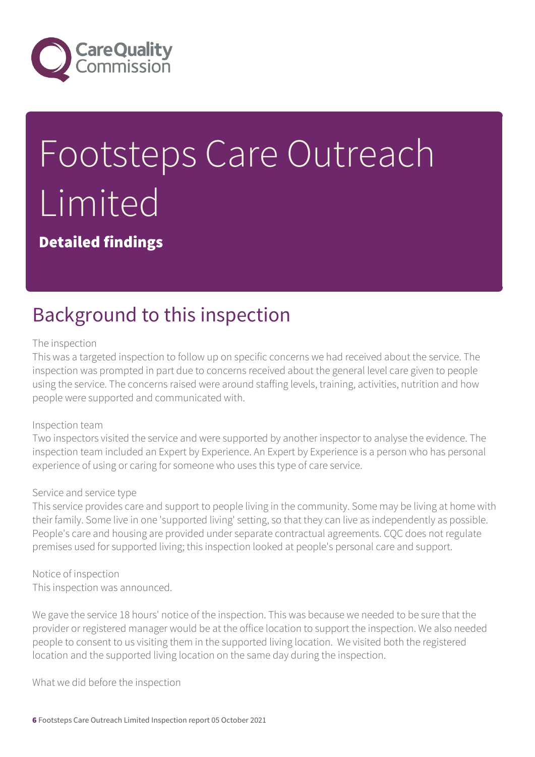

# Footsteps Care Outreach Limited

Detailed findings

## Background to this inspection

#### The inspection

This was a targeted inspection to follow up on specific concerns we had received about the service. The inspection was prompted in part due to concerns received about the general level care given to people using the service. The concerns raised were around staffing levels, training, activities, nutrition and how people were supported and communicated with.

#### Inspection team

Two inspectors visited the service and were supported by another inspector to analyse the evidence. The inspection team included an Expert by Experience. An Expert by Experience is a person who has personal experience of using or caring for someone who uses this type of care service.

#### Service and service type

This service provides care and support to people living in the community. Some may be living at home with their family. Some live in one 'supported living' setting, so that they can live as independently as possible. People's care and housing are provided under separate contractual agreements. CQC does not regulate premises used for supported living; this inspection looked at people's personal care and support.

Notice of inspection This inspection was announced.

We gave the service 18 hours' notice of the inspection. This was because we needed to be sure that the provider or registered manager would be at the office location to support the inspection. We also needed people to consent to us visiting them in the supported living location. We visited both the registered location and the supported living location on the same day during the inspection.

What we did before the inspection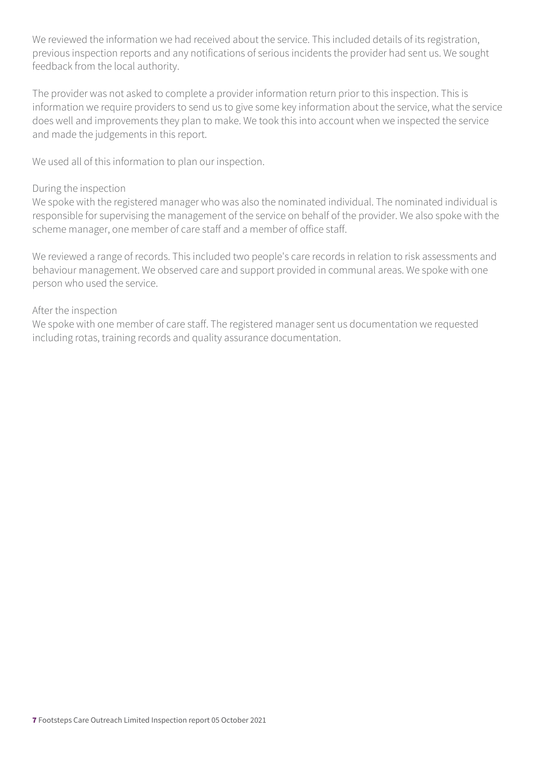We reviewed the information we had received about the service. This included details of its registration, previous inspection reports and any notifications of serious incidents the provider had sent us. We sought feedback from the local authority.

The provider was not asked to complete a provider information return prior to this inspection. This is information we require providers to send us to give some key information about the service, what the service does well and improvements they plan to make. We took this into account when we inspected the service and made the judgements in this report.

We used all of this information to plan our inspection.

#### During the inspection

We spoke with the registered manager who was also the nominated individual. The nominated individual is responsible for supervising the management of the service on behalf of the provider. We also spoke with the scheme manager, one member of care staff and a member of office staff.

We reviewed a range of records. This included two people's care records in relation to risk assessments and behaviour management. We observed care and support provided in communal areas. We spoke with one person who used the service.

#### After the inspection

We spoke with one member of care staff. The registered manager sent us documentation we requested including rotas, training records and quality assurance documentation.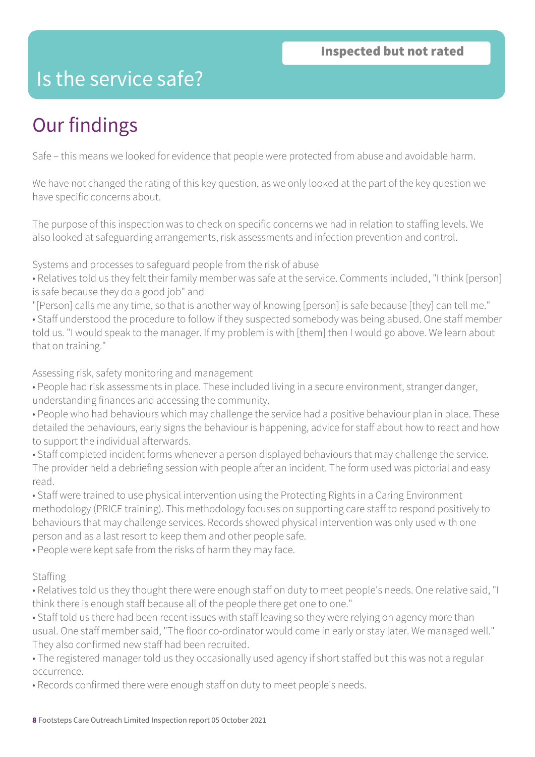### Is the service safe?

# Our findings

Safe – this means we looked for evidence that people were protected from abuse and avoidable harm.

We have not changed the rating of this key question, as we only looked at the part of the key question we have specific concerns about.

The purpose of this inspection was to check on specific concerns we had in relation to staffing levels. We also looked at safeguarding arrangements, risk assessments and infection prevention and control.

Systems and processes to safeguard people from the risk of abuse

- Relatives told us they felt their family member was safe at the service. Comments included, "I think [person] is safe because they do a good job" and
- "[Person] calls me any time, so that is another way of knowing [person] is safe because [they] can tell me."
- Staff understood the procedure to follow if they suspected somebody was being abused. One staff member told us. "I would speak to the manager. If my problem is with [them] then I would go above. We learn about that on training."

Assessing risk, safety monitoring and management

- People had risk assessments in place. These included living in a secure environment, stranger danger, understanding finances and accessing the community,
- People who had behaviours which may challenge the service had a positive behaviour plan in place. These detailed the behaviours, early signs the behaviour is happening, advice for staff about how to react and how to support the individual afterwards.
- Staff completed incident forms whenever a person displayed behaviours that may challenge the service. The provider held a debriefing session with people after an incident. The form used was pictorial and easy read.
- Staff were trained to use physical intervention using the Protecting Rights in a Caring Environment methodology (PRICE training). This methodology focuses on supporting care staff to respond positively to behaviours that may challenge services. Records showed physical intervention was only used with one person and as a last resort to keep them and other people safe.

• People were kept safe from the risks of harm they may face.

#### Staffing

- Relatives told us they thought there were enough staff on duty to meet people's needs. One relative said, "I think there is enough staff because all of the people there get one to one."
- Staff told us there had been recent issues with staff leaving so they were relying on agency more than usual. One staff member said, "The floor co-ordinator would come in early or stay later. We managed well." They also confirmed new staff had been recruited.
- The registered manager told us they occasionally used agency if short staffed but this was not a regular occurrence.
- Records confirmed there were enough staff on duty to meet people's needs.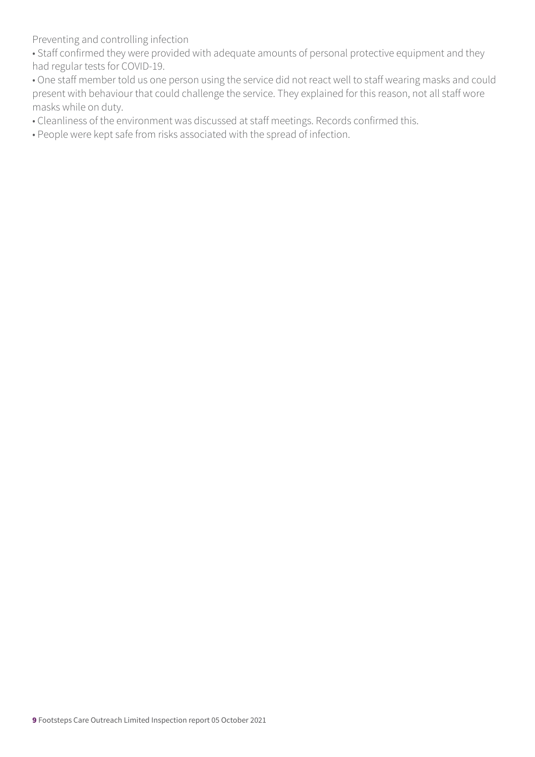Preventing and controlling infection

• Staff confirmed they were provided with adequate amounts of personal protective equipment and they had regular tests for COVID-19.

• One staff member told us one person using the service did not react well to staff wearing masks and could present with behaviour that could challenge the service. They explained for this reason, not all staff wore masks while on duty.

• Cleanliness of the environment was discussed at staff meetings. Records confirmed this.

• People were kept safe from risks associated with the spread of infection.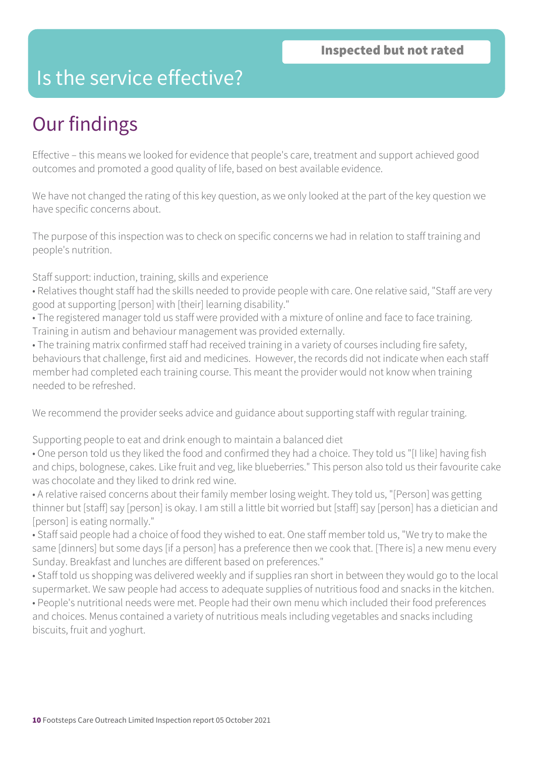### Is the service effective?

## Our findings

Effective – this means we looked for evidence that people's care, treatment and support achieved good outcomes and promoted a good quality of life, based on best available evidence.

We have not changed the rating of this key question, as we only looked at the part of the key question we have specific concerns about.

The purpose of this inspection was to check on specific concerns we had in relation to staff training and people's nutrition.

Staff support: induction, training, skills and experience

- Relatives thought staff had the skills needed to provide people with care. One relative said, "Staff are very good at supporting [person] with [their] learning disability."
- The registered manager told us staff were provided with a mixture of online and face to face training. Training in autism and behaviour management was provided externally.
- The training matrix confirmed staff had received training in a variety of courses including fire safety, behaviours that challenge, first aid and medicines. However, the records did not indicate when each staff member had completed each training course. This meant the provider would not know when training needed to be refreshed.

We recommend the provider seeks advice and guidance about supporting staff with regular training.

Supporting people to eat and drink enough to maintain a balanced diet

• One person told us they liked the food and confirmed they had a choice. They told us "[I like] having fish and chips, bolognese, cakes. Like fruit and veg, like blueberries." This person also told us their favourite cake was chocolate and they liked to drink red wine.

• A relative raised concerns about their family member losing weight. They told us, "[Person] was getting thinner but [staff] say [person] is okay. I am still a little bit worried but [staff] say [person] has a dietician and [person] is eating normally."

• Staff said people had a choice of food they wished to eat. One staff member told us, "We try to make the same [dinners] but some days [if a person] has a preference then we cook that. [There is] a new menu every Sunday. Breakfast and lunches are different based on preferences."

• Staff told us shopping was delivered weekly and if supplies ran short in between they would go to the local supermarket. We saw people had access to adequate supplies of nutritious food and snacks in the kitchen. • People's nutritional needs were met. People had their own menu which included their food preferences and choices. Menus contained a variety of nutritious meals including vegetables and snacks including biscuits, fruit and yoghurt.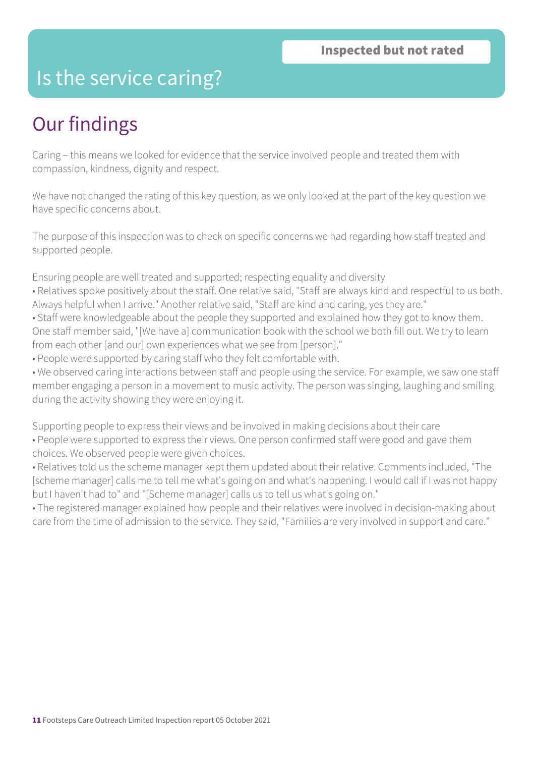### Is the service caring?

## Our findings

Caring – this means we looked for evidence that the service involved people and treated them with compassion, kindness, dignity and respect.

We have not changed the rating of this key question, as we only looked at the part of the key question we have specific concerns about.

The purpose of this inspection was to check on specific concerns we had regarding how staff treated and supported people.

Ensuring people are well treated and supported; respecting equality and diversity

- Relatives spoke positively about the staff. One relative said, "Staff are always kind and respectful to us both. Always helpful when I arrive." Another relative said, "Staff are kind and caring, yes they are."
- Staff were knowledgeable about the people they supported and explained how they got to know them. One staff member said, "[We have a] communication book with the school we both fill out. We try to learn from each other [and our] own experiences what we see from [person]."
- People were supported by caring staff who they felt comfortable with.

• We observed caring interactions between staff and people using the service. For example, we saw one staff member engaging a person in a movement to music activity. The person was singing, laughing and smiling during the activity showing they were enjoying it.

Supporting people to express their views and be involved in making decisions about their care • People were supported to express their views. One person confirmed staff were good and gave them choices. We observed people were given choices.

• Relatives told us the scheme manager kept them updated about their relative. Comments included, "The [scheme manager] calls me to tell me what's going on and what's happening. I would call if I was not happy but I haven't had to" and "[Scheme manager] calls us to tell us what's going on."

• The registered manager explained how people and their relatives were involved in decision-making about care from the time of admission to the service. They said, "Families are very involved in support and care."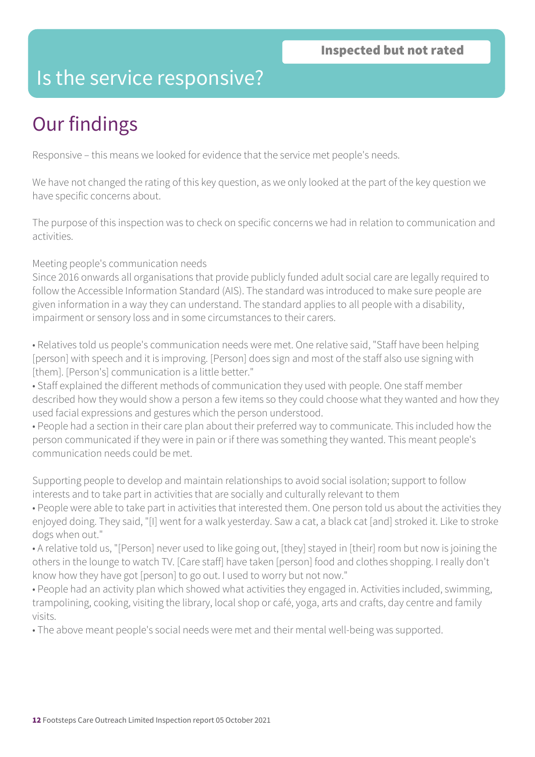### Is the service responsive?

# Our findings

Responsive – this means we looked for evidence that the service met people's needs.

We have not changed the rating of this key question, as we only looked at the part of the key question we have specific concerns about.

The purpose of this inspection was to check on specific concerns we had in relation to communication and activities.

#### Meeting people's communication needs

Since 2016 onwards all organisations that provide publicly funded adult social care are legally required to follow the Accessible Information Standard (AIS). The standard was introduced to make sure people are given information in a way they can understand. The standard applies to all people with a disability, impairment or sensory loss and in some circumstances to their carers.

• Relatives told us people's communication needs were met. One relative said, "Staff have been helping [person] with speech and it is improving. [Person] does sign and most of the staff also use signing with [them]. [Person's] communication is a little better."

• Staff explained the different methods of communication they used with people. One staff member described how they would show a person a few items so they could choose what they wanted and how they used facial expressions and gestures which the person understood.

• People had a section in their care plan about their preferred way to communicate. This included how the person communicated if they were in pain or if there was something they wanted. This meant people's communication needs could be met.

Supporting people to develop and maintain relationships to avoid social isolation; support to follow interests and to take part in activities that are socially and culturally relevant to them

• People were able to take part in activities that interested them. One person told us about the activities they enjoyed doing. They said, "[I] went for a walk yesterday. Saw a cat, a black cat [and] stroked it. Like to stroke dogs when out."

• A relative told us, "[Person] never used to like going out, [they] stayed in [their] room but now is joining the others in the lounge to watch TV. [Care staff] have taken [person] food and clothes shopping. I really don't know how they have got [person] to go out. I used to worry but not now."

• People had an activity plan which showed what activities they engaged in. Activities included, swimming, trampolining, cooking, visiting the library, local shop or café, yoga, arts and crafts, day centre and family visits.

• The above meant people's social needs were met and their mental well-being was supported.